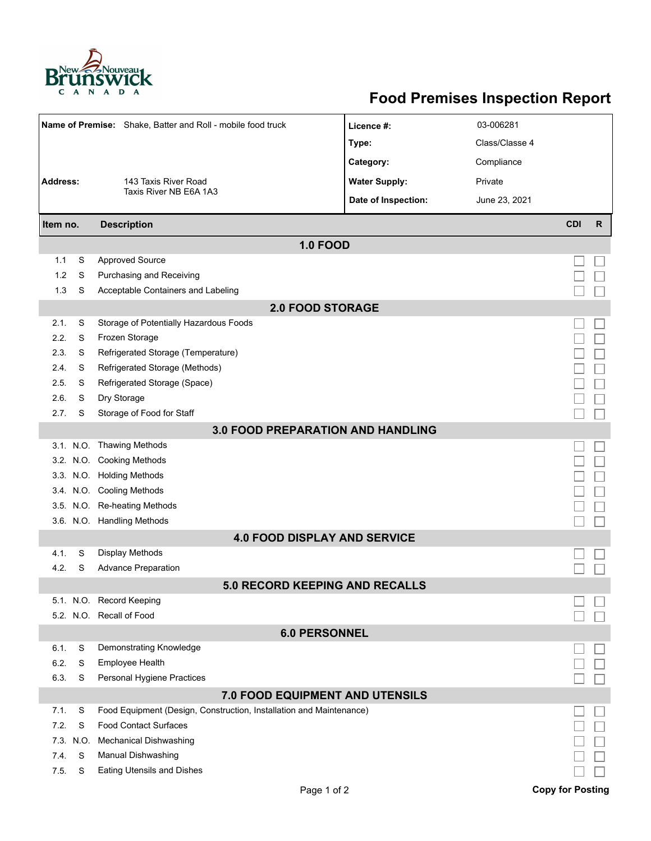

## **Food Premises Inspection Report**

|                                          |      | Name of Premise: Shake, Batter and Roll - mobile food truck         | Licence #:           | 03-006281      |                         |              |  |  |  |  |  |
|------------------------------------------|------|---------------------------------------------------------------------|----------------------|----------------|-------------------------|--------------|--|--|--|--|--|
|                                          |      |                                                                     | Type:                | Class/Classe 4 |                         |              |  |  |  |  |  |
|                                          |      |                                                                     | Category:            | Compliance     |                         |              |  |  |  |  |  |
| <b>Address:</b>                          |      | 143 Taxis River Road                                                | <b>Water Supply:</b> | Private        |                         |              |  |  |  |  |  |
|                                          |      | Taxis River NB E6A 1A3                                              | Date of Inspection:  | June 23, 2021  |                         |              |  |  |  |  |  |
|                                          |      | <b>Description</b>                                                  |                      |                | <b>CDI</b>              | $\mathsf{R}$ |  |  |  |  |  |
| Item no.<br><b>1.0 FOOD</b>              |      |                                                                     |                      |                |                         |              |  |  |  |  |  |
| 1.1                                      | S    | <b>Approved Source</b>                                              |                      |                |                         |              |  |  |  |  |  |
| 1.2                                      | S    | Purchasing and Receiving                                            |                      |                |                         |              |  |  |  |  |  |
| 1.3                                      | S    | Acceptable Containers and Labeling                                  |                      |                |                         |              |  |  |  |  |  |
|                                          |      | <b>2.0 FOOD STORAGE</b>                                             |                      |                |                         |              |  |  |  |  |  |
| 2.1.                                     | S    | Storage of Potentially Hazardous Foods                              |                      |                |                         |              |  |  |  |  |  |
| 2.2.                                     | S    | Frozen Storage                                                      |                      |                |                         |              |  |  |  |  |  |
| 2.3.                                     | S    | Refrigerated Storage (Temperature)                                  |                      |                |                         |              |  |  |  |  |  |
| 2.4.                                     | S    | Refrigerated Storage (Methods)                                      |                      |                |                         |              |  |  |  |  |  |
| 2.5.                                     | S    | Refrigerated Storage (Space)                                        |                      |                |                         |              |  |  |  |  |  |
| 2.6.                                     | S    | Dry Storage                                                         |                      |                |                         |              |  |  |  |  |  |
| 2.7.                                     | S    | Storage of Food for Staff                                           |                      |                |                         |              |  |  |  |  |  |
| <b>3.0 FOOD PREPARATION AND HANDLING</b> |      |                                                                     |                      |                |                         |              |  |  |  |  |  |
|                                          |      | 3.1. N.O. Thawing Methods                                           |                      |                |                         |              |  |  |  |  |  |
|                                          |      | 3.2. N.O. Cooking Methods                                           |                      |                |                         |              |  |  |  |  |  |
|                                          |      | 3.3. N.O. Holding Methods                                           |                      |                |                         |              |  |  |  |  |  |
|                                          |      | 3.4. N.O. Cooling Methods                                           |                      |                |                         |              |  |  |  |  |  |
|                                          |      | 3.5. N.O. Re-heating Methods                                        |                      |                |                         |              |  |  |  |  |  |
|                                          |      | 3.6. N.O. Handling Methods                                          |                      |                |                         |              |  |  |  |  |  |
| <b>4.0 FOOD DISPLAY AND SERVICE</b>      |      |                                                                     |                      |                |                         |              |  |  |  |  |  |
| 4.1.                                     | S    | <b>Display Methods</b>                                              |                      |                |                         |              |  |  |  |  |  |
| 4.2.                                     | S    | <b>Advance Preparation</b>                                          |                      |                |                         |              |  |  |  |  |  |
|                                          |      | <b>5.0 RECORD KEEPING AND RECALLS</b>                               |                      |                |                         |              |  |  |  |  |  |
|                                          |      | 5.1. N.O. Record Keeping                                            |                      |                |                         |              |  |  |  |  |  |
|                                          |      | 5.2. N.O. Recall of Food                                            |                      |                |                         |              |  |  |  |  |  |
| <b>6.0 PERSONNEL</b>                     |      |                                                                     |                      |                |                         |              |  |  |  |  |  |
| 6.1.                                     | S    | Demonstrating Knowledge                                             |                      |                |                         |              |  |  |  |  |  |
| 6.2.                                     | S    | <b>Employee Health</b>                                              |                      |                |                         |              |  |  |  |  |  |
| 6.3.                                     | S    | Personal Hygiene Practices                                          |                      |                |                         |              |  |  |  |  |  |
| <b>7.0 FOOD EQUIPMENT AND UTENSILS</b>   |      |                                                                     |                      |                |                         |              |  |  |  |  |  |
| 7.1.                                     | S    | Food Equipment (Design, Construction, Installation and Maintenance) |                      |                |                         |              |  |  |  |  |  |
| 7.2.                                     | S    | <b>Food Contact Surfaces</b>                                        |                      |                |                         |              |  |  |  |  |  |
| 7.3.                                     | N.O. | <b>Mechanical Dishwashing</b>                                       |                      |                |                         |              |  |  |  |  |  |
| 7.4.                                     | S    | Manual Dishwashing                                                  |                      |                |                         |              |  |  |  |  |  |
| 7.5.                                     | S    | <b>Eating Utensils and Dishes</b>                                   |                      |                |                         |              |  |  |  |  |  |
|                                          |      | Page 1 of 2                                                         |                      |                | <b>Copy for Posting</b> |              |  |  |  |  |  |